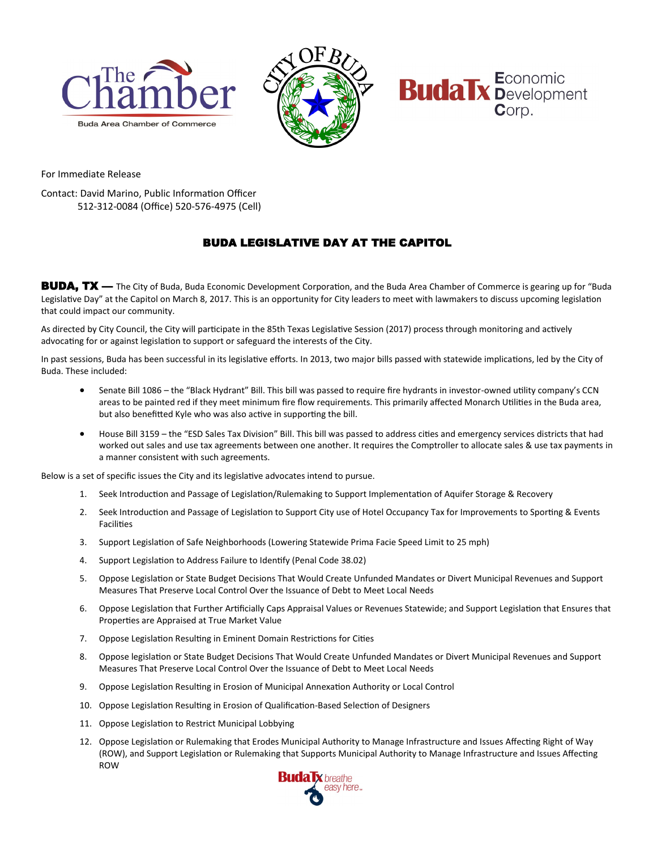





For Immediate Release

Contact: David Marino, Public Information Officer 512-312-0084 (Office) 520-576-4975 (Cell)

## BUDA LEGISLATIVE DAY AT THE CAPITOL

BUDA, TX — The City of Buda, Buda Economic Development Corporation, and the Buda Area Chamber of Commerce is gearing up for "Buda Legislative Day" at the Capitol on March 8, 2017. This is an opportunity for City leaders to meet with lawmakers to discuss upcoming legislation that could impact our community.

As directed by City Council, the City will participate in the 85th Texas Legislative Session (2017) process through monitoring and actively advocating for or against legislation to support or safeguard the interests of the City.

In past sessions, Buda has been successful in its legislative efforts. In 2013, two major bills passed with statewide implications, led by the City of Buda. These included:

- Senate Bill 1086 the "Black Hydrant" Bill. This bill was passed to require fire hydrants in investor-owned utility company's CCN areas to be painted red if they meet minimum fire flow requirements. This primarily affected Monarch Utilities in the Buda area, but also benefitted Kyle who was also active in supporting the bill.
- House Bill 3159 the "ESD Sales Tax Division" Bill. This bill was passed to address cities and emergency services districts that had worked out sales and use tax agreements between one another. It requires the Comptroller to allocate sales & use tax payments in a manner consistent with such agreements.

Below is a set of specific issues the City and its legislative advocates intend to pursue.

- 1. Seek Introduction and Passage of Legislation/Rulemaking to Support Implementation of Aquifer Storage & Recovery
- 2. Seek Introduction and Passage of Legislation to Support City use of Hotel Occupancy Tax for Improvements to Sporting & Events Facilities
- 3. Support Legislation of Safe Neighborhoods (Lowering Statewide Prima Facie Speed Limit to 25 mph)
- 4. Support Legislation to Address Failure to Identify (Penal Code 38.02)
- 5. Oppose Legislation or State Budget Decisions That Would Create Unfunded Mandates or Divert Municipal Revenues and Support Measures That Preserve Local Control Over the Issuance of Debt to Meet Local Needs
- 6. Oppose Legislation that Further Artificially Caps Appraisal Values or Revenues Statewide; and Support Legislation that Ensures that Properties are Appraised at True Market Value
- 7. Oppose Legislation Resulting in Eminent Domain Restrictions for Cities
- 8. Oppose legislation or State Budget Decisions That Would Create Unfunded Mandates or Divert Municipal Revenues and Support Measures That Preserve Local Control Over the Issuance of Debt to Meet Local Needs
- 9. Oppose Legislation Resulting in Erosion of Municipal Annexation Authority or Local Control
- 10. Oppose Legislation Resulting in Erosion of Qualification-Based Selection of Designers
- 11. Oppose Legislation to Restrict Municipal Lobbying
- 12. Oppose Legislation or Rulemaking that Erodes Municipal Authority to Manage Infrastructure and Issues Affecting Right of Way (ROW), and Support Legislation or Rulemaking that Supports Municipal Authority to Manage Infrastructure and Issues Affecting ROW